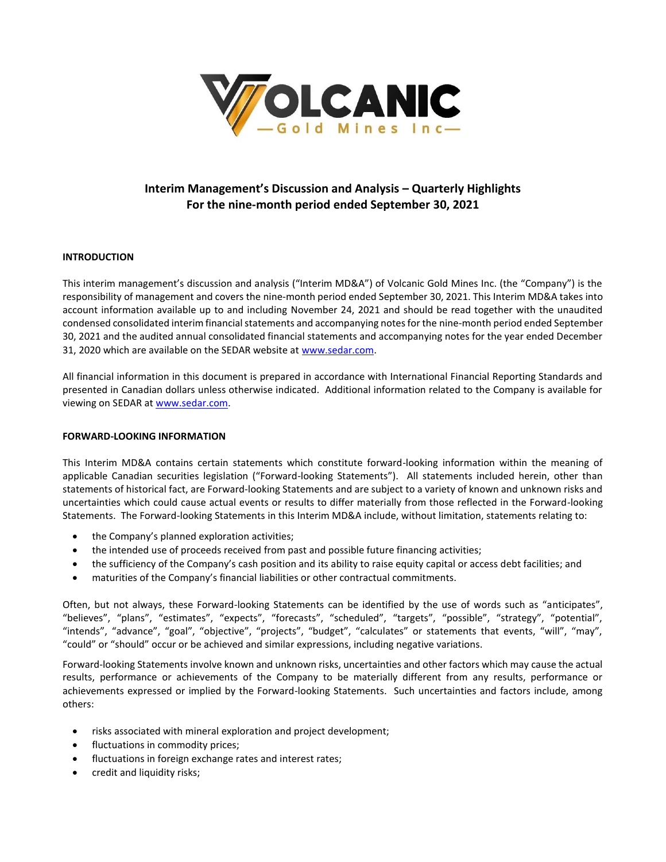

# **Interim Management's Discussion and Analysis – Quarterly Highlights For the nine-month period ended September 30, 2021**

# **INTRODUCTION**

This interim management's discussion and analysis ("Interim MD&A") of Volcanic Gold Mines Inc. (the "Company") is the responsibility of management and covers the nine-month period ended September 30, 2021. This Interim MD&A takes into account information available up to and including November 24, 2021 and should be read together with the unaudited condensed consolidated interim financial statements and accompanying notes for the nine-month period ended September 30, 2021 and the audited annual consolidated financial statements and accompanying notes for the year ended December 31, 2020 which are available on the SEDAR website a[t www.sedar.com.](http://www.sedar.com/)

All financial information in this document is prepared in accordance with International Financial Reporting Standards and presented in Canadian dollars unless otherwise indicated. Additional information related to the Company is available for viewing on SEDAR at [www.sedar.com.](http://www.sedar.com/)

# **FORWARD-LOOKING INFORMATION**

This Interim MD&A contains certain statements which constitute forward-looking information within the meaning of applicable Canadian securities legislation ("Forward-looking Statements"). All statements included herein, other than statements of historical fact, are Forward-looking Statements and are subject to a variety of known and unknown risks and uncertainties which could cause actual events or results to differ materially from those reflected in the Forward-looking Statements. The Forward-looking Statements in this Interim MD&A include, without limitation, statements relating to:

- the Company's planned exploration activities;
- the intended use of proceeds received from past and possible future financing activities;
- the sufficiency of the Company's cash position and its ability to raise equity capital or access debt facilities; and
- maturities of the Company's financial liabilities or other contractual commitments.

Often, but not always, these Forward-looking Statements can be identified by the use of words such as "anticipates", "believes", "plans", "estimates", "expects", "forecasts", "scheduled", "targets", "possible", "strategy", "potential", "intends", "advance", "goal", "objective", "projects", "budget", "calculates" or statements that events, "will", "may", "could" or "should" occur or be achieved and similar expressions, including negative variations.

Forward-looking Statements involve known and unknown risks, uncertainties and other factors which may cause the actual results, performance or achievements of the Company to be materially different from any results, performance or achievements expressed or implied by the Forward-looking Statements. Such uncertainties and factors include, among others:

- risks associated with mineral exploration and project development;
- fluctuations in commodity prices;
- fluctuations in foreign exchange rates and interest rates;
- credit and liquidity risks;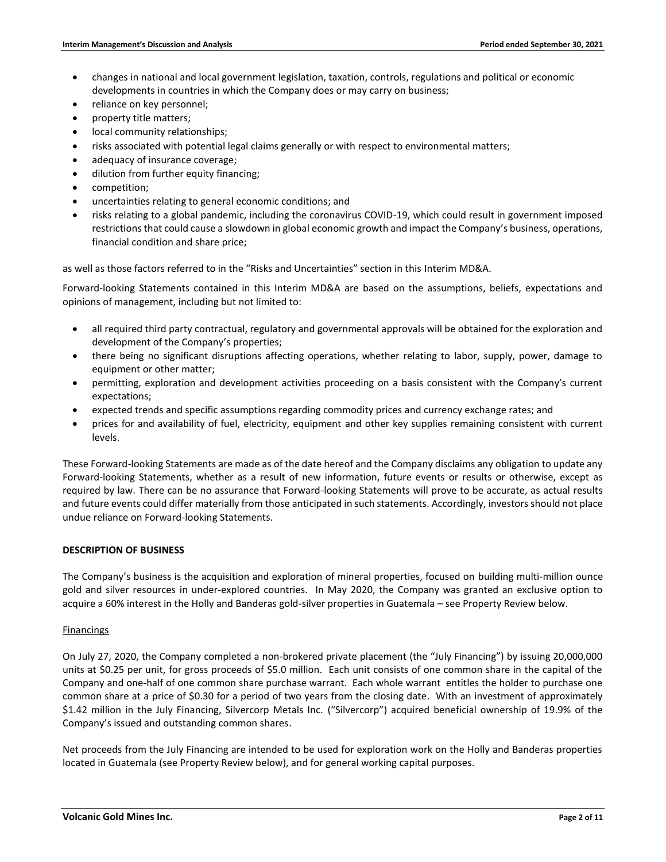- changes in national and local government legislation, taxation, controls, regulations and political or economic developments in countries in which the Company does or may carry on business;
- reliance on key personnel;
- property title matters;
- local community relationships;
- risks associated with potential legal claims generally or with respect to environmental matters;
- adequacy of insurance coverage;
- dilution from further equity financing;
- competition;
- uncertainties relating to general economic conditions; and
- risks relating to a global pandemic, including the coronavirus COVID-19, which could result in government imposed restrictions that could cause a slowdown in global economic growth and impact the Company's business, operations, financial condition and share price;

as well as those factors referred to in the "Risks and Uncertainties" section in this Interim MD&A.

Forward-looking Statements contained in this Interim MD&A are based on the assumptions, beliefs, expectations and opinions of management, including but not limited to:

- all required third party contractual, regulatory and governmental approvals will be obtained for the exploration and development of the Company's properties;
- there being no significant disruptions affecting operations, whether relating to labor, supply, power, damage to equipment or other matter;
- permitting, exploration and development activities proceeding on a basis consistent with the Company's current expectations;
- expected trends and specific assumptions regarding commodity prices and currency exchange rates; and
- prices for and availability of fuel, electricity, equipment and other key supplies remaining consistent with current levels.

These Forward-looking Statements are made as of the date hereof and the Company disclaims any obligation to update any Forward-looking Statements, whether as a result of new information, future events or results or otherwise, except as required by law. There can be no assurance that Forward-looking Statements will prove to be accurate, as actual results and future events could differ materially from those anticipated in such statements. Accordingly, investors should not place undue reliance on Forward-looking Statements.

# **DESCRIPTION OF BUSINESS**

The Company's business is the acquisition and exploration of mineral properties, focused on building multi-million ounce gold and silver resources in under-explored countries. In May 2020, the Company was granted an exclusive option to acquire a 60% interest in the Holly and Banderas gold-silver properties in Guatemala – see Property Review below.

# Financings

On July 27, 2020, the Company completed a non-brokered private placement (the "July Financing") by issuing 20,000,000 units at \$0.25 per unit, for gross proceeds of \$5.0 million. Each unit consists of one common share in the capital of the Company and one-half of one common share purchase warrant. Each whole warrant entitles the holder to purchase one common share at a price of \$0.30 for a period of two years from the closing date. With an investment of approximately \$1.42 million in the July Financing, Silvercorp Metals Inc. ("Silvercorp") acquired beneficial ownership of 19.9% of the Company's issued and outstanding common shares.

Net proceeds from the July Financing are intended to be used for exploration work on the Holly and Banderas properties located in Guatemala (see Property Review below), and for general working capital purposes.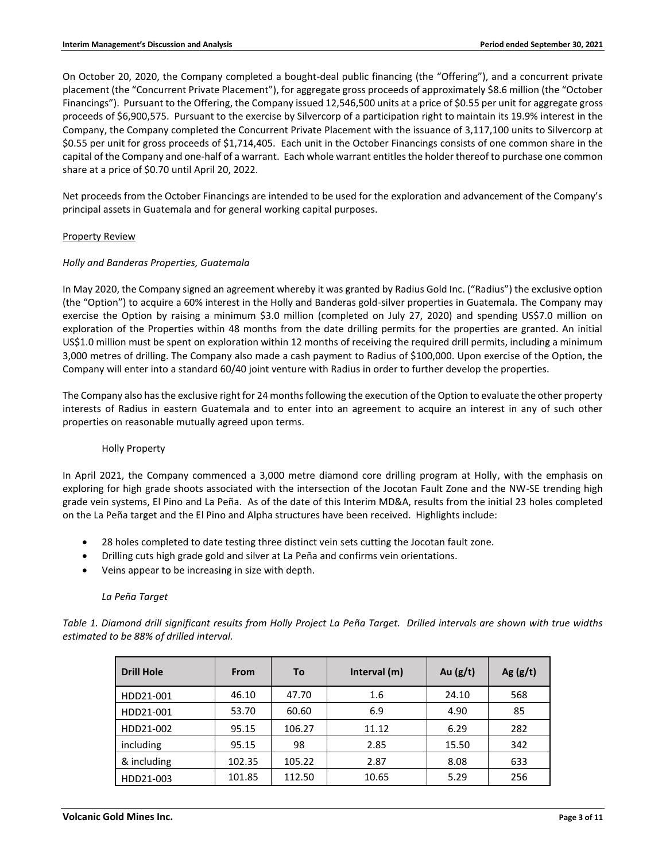On October 20, 2020, the Company completed a bought-deal public financing (the "Offering"), and a concurrent private placement (the "Concurrent Private Placement"), for aggregate gross proceeds of approximately \$8.6 million (the "October Financings"). Pursuant to the Offering, the Company issued 12,546,500 units at a price of \$0.55 per unit for aggregate gross proceeds of \$6,900,575. Pursuant to the exercise by Silvercorp of a participation right to maintain its 19.9% interest in the Company, the Company completed the Concurrent Private Placement with the issuance of 3,117,100 units to Silvercorp at \$0.55 per unit for gross proceeds of \$1,714,405. Each unit in the October Financings consists of one common share in the capital of the Company and one-half of a warrant. Each whole warrant entitles the holder thereof to purchase one common share at a price of \$0.70 until April 20, 2022.

Net proceeds from the October Financings are intended to be used for the exploration and advancement of the Company's principal assets in Guatemala and for general working capital purposes.

# Property Review

# *Holly and Banderas Properties, Guatemala*

In May 2020, the Company signed an agreement whereby it was granted by Radius Gold Inc. ("Radius") the exclusive option (the "Option") to acquire a 60% interest in the Holly and Banderas gold-silver properties in Guatemala. The Company may exercise the Option by raising a minimum \$3.0 million (completed on July 27, 2020) and spending US\$7.0 million on exploration of the Properties within 48 months from the date drilling permits for the properties are granted. An initial US\$1.0 million must be spent on exploration within 12 months of receiving the required drill permits, including a minimum 3,000 metres of drilling. The Company also made a cash payment to Radius of \$100,000. Upon exercise of the Option, the Company will enter into a standard 60/40 joint venture with Radius in order to further develop the properties.

The Company also has the exclusive right for 24 months following the execution of the Option to evaluate the other property interests of Radius in eastern Guatemala and to enter into an agreement to acquire an interest in any of such other properties on reasonable mutually agreed upon terms.

# Holly Property

In April 2021, the Company commenced a 3,000 metre diamond core drilling program at Holly, with the emphasis on exploring for high grade shoots associated with the intersection of the Jocotan Fault Zone and the NW-SE trending high grade vein systems, El Pino and La Peña. As of the date of this Interim MD&A, results from the initial 23 holes completed on the La Peña target and the El Pino and Alpha structures have been received. Highlights include:

- 28 holes completed to date testing three distinct vein sets cutting the Jocotan fault zone.
- Drilling cuts high grade gold and silver at La Peña and confirms vein orientations.
- Veins appear to be increasing in size with depth.

# *La Peña Target*

*Table 1. Diamond drill significant results from Holly Project La Peña Target. Drilled intervals are shown with true widths estimated to be 88% of drilled interval.*

| <b>Drill Hole</b> | From   | To     | Interval (m) | Au $(g/t)$ | Ag $(g/t)$ |
|-------------------|--------|--------|--------------|------------|------------|
| HDD21-001         | 46.10  | 47.70  | 1.6          | 24.10      | 568        |
| HDD21-001         | 53.70  | 60.60  | 6.9          | 4.90       | 85         |
| HDD21-002         | 95.15  | 106.27 | 11.12        | 6.29       | 282        |
| including         | 95.15  | 98     | 2.85         | 15.50      | 342        |
| & including       | 102.35 | 105.22 | 2.87         | 8.08       | 633        |
| HDD21-003         | 101.85 | 112.50 | 10.65        | 5.29       | 256        |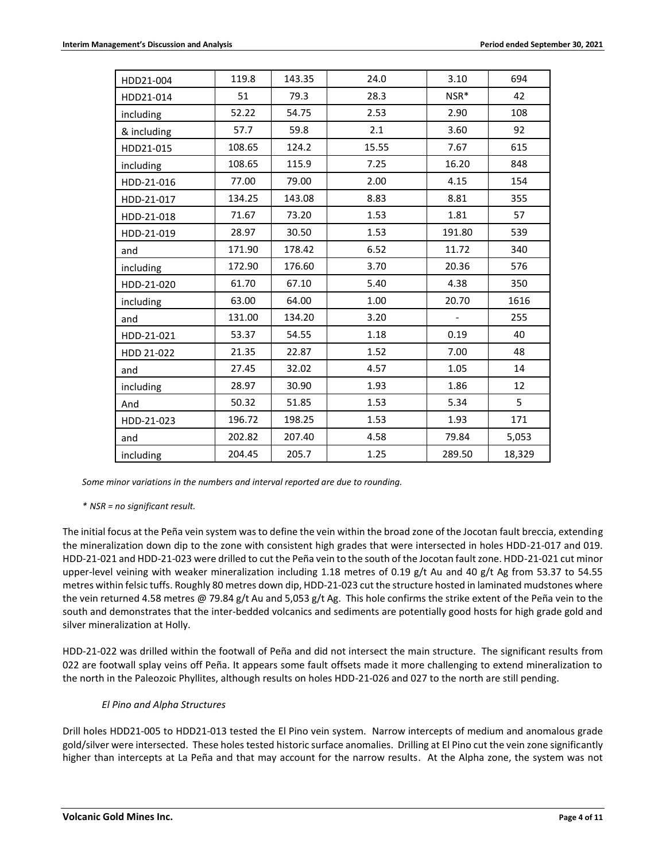| HDD21-004   | 119.8  | 143.35 | 24.0  | 3.10                     | 694    |
|-------------|--------|--------|-------|--------------------------|--------|
| HDD21-014   | 51     | 79.3   | 28.3  | NSR*                     | 42     |
| including   | 52.22  | 54.75  | 2.53  | 2.90                     | 108    |
| & including | 57.7   | 59.8   | 2.1   | 3.60                     | 92     |
| HDD21-015   | 108.65 | 124.2  | 15.55 | 7.67                     | 615    |
| including   | 108.65 | 115.9  | 7.25  | 16.20                    | 848    |
| HDD-21-016  | 77.00  | 79.00  | 2.00  | 4.15                     | 154    |
| HDD-21-017  | 134.25 | 143.08 | 8.83  | 8.81                     | 355    |
| HDD-21-018  | 71.67  | 73.20  | 1.53  | 1.81                     | 57     |
| HDD-21-019  | 28.97  | 30.50  | 1.53  | 191.80                   | 539    |
| and         | 171.90 | 178.42 | 6.52  | 11.72                    | 340    |
| including   | 172.90 | 176.60 | 3.70  | 20.36                    | 576    |
| HDD-21-020  | 61.70  | 67.10  | 5.40  | 4.38                     | 350    |
| including   | 63.00  | 64.00  | 1.00  | 20.70                    | 1616   |
| and         | 131.00 | 134.20 | 3.20  | $\overline{\phantom{a}}$ | 255    |
| HDD-21-021  | 53.37  | 54.55  | 1.18  | 0.19                     | 40     |
| HDD 21-022  | 21.35  | 22.87  | 1.52  | 7.00                     | 48     |
| and         | 27.45  | 32.02  | 4.57  | 1.05                     | 14     |
| including   | 28.97  | 30.90  | 1.93  | 1.86                     | 12     |
| And         | 50.32  | 51.85  | 1.53  | 5.34                     | 5      |
| HDD-21-023  | 196.72 | 198.25 | 1.53  | 1.93                     | 171    |
| and         | 202.82 | 207.40 | 4.58  | 79.84                    | 5,053  |
| including   | 204.45 | 205.7  | 1.25  | 289.50                   | 18,329 |

*Some minor variations in the numbers and interval reported are due to rounding.*

# *\* NSR = no significant result.*

The initial focus at the Peña vein system was to define the vein within the broad zone of the Jocotan fault breccia, extending the mineralization down dip to the zone with consistent high grades that were intersected in holes HDD-21-017 and 019. HDD-21-021 and HDD-21-023 were drilled to cut the Peña vein to the south of the Jocotan fault zone. HDD-21-021 cut minor upper-level veining with weaker mineralization including 1.18 metres of 0.19 g/t Au and 40 g/t Ag from 53.37 to 54.55 metres within felsic tuffs. Roughly 80 metres down dip, HDD-21-023 cut the structure hosted in laminated mudstones where the vein returned 4.58 metres @ 79.84 g/t Au and 5,053 g/t Ag. This hole confirms the strike extent of the Peña vein to the south and demonstrates that the inter-bedded volcanics and sediments are potentially good hosts for high grade gold and silver mineralization at Holly.

HDD-21-022 was drilled within the footwall of Peña and did not intersect the main structure. The significant results from 022 are footwall splay veins off Peña. It appears some fault offsets made it more challenging to extend mineralization to the north in the Paleozoic Phyllites, although results on holes HDD-21-026 and 027 to the north are still pending.

# *El Pino and Alpha Structures*

Drill holes HDD21-005 to HDD21-013 tested the El Pino vein system. Narrow intercepts of medium and anomalous grade gold/silver were intersected. These holes tested historic surface anomalies. Drilling at El Pino cut the vein zone significantly higher than intercepts at La Peña and that may account for the narrow results. At the Alpha zone, the system was not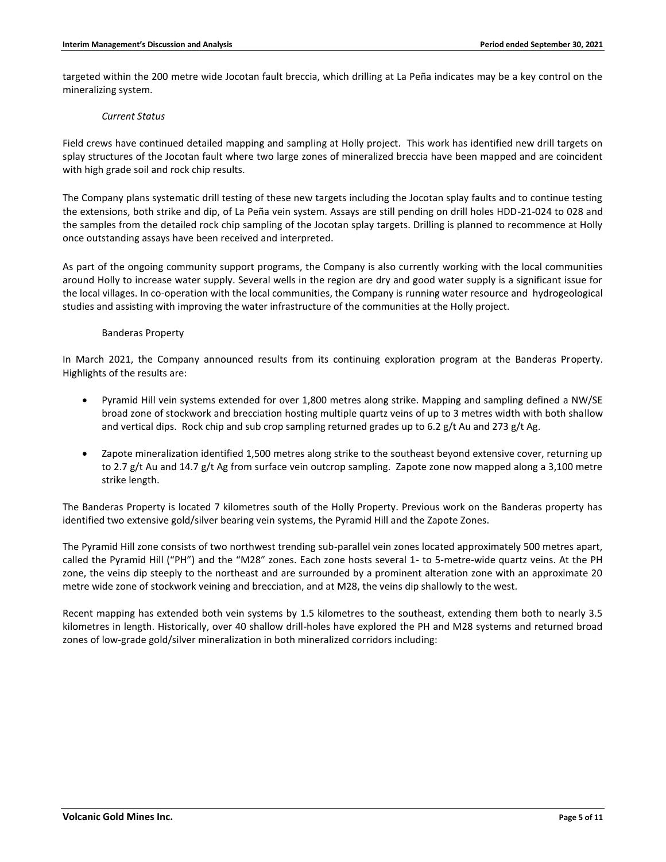targeted within the 200 metre wide Jocotan fault breccia, which drilling at La Peña indicates may be a key control on the mineralizing system.

#### *Current Status*

Field crews have continued detailed mapping and sampling at Holly project. This work has identified new drill targets on splay structures of the Jocotan fault where two large zones of mineralized breccia have been mapped and are coincident with high grade soil and rock chip results.

The Company plans systematic drill testing of these new targets including the Jocotan splay faults and to continue testing the extensions, both strike and dip, of La Peña vein system. Assays are still pending on drill holes HDD-21-024 to 028 and the samples from the detailed rock chip sampling of the Jocotan splay targets. Drilling is planned to recommence at Holly once outstanding assays have been received and interpreted.

As part of the ongoing community support programs, the Company is also currently working with the local communities around Holly to increase water supply. Several wells in the region are dry and good water supply is a significant issue for the local villages. In co-operation with the local communities, the Company is running water resource and hydrogeological studies and assisting with improving the water infrastructure of the communities at the Holly project.

# Banderas Property

In March 2021, the Company announced results from its continuing exploration program at the Banderas Property. Highlights of the results are:

- Pyramid Hill vein systems extended for over 1,800 metres along strike. Mapping and sampling defined a NW/SE broad zone of stockwork and brecciation hosting multiple quartz veins of up to 3 metres width with both shallow and vertical dips. Rock chip and sub crop sampling returned grades up to 6.2 g/t Au and 273 g/t Ag.
- Zapote mineralization identified 1,500 metres along strike to the southeast beyond extensive cover, returning up to 2.7 g/t Au and 14.7 g/t Ag from surface vein outcrop sampling. Zapote zone now mapped along a 3,100 metre strike length.

The Banderas Property is located 7 kilometres south of the Holly Property. Previous work on the Banderas property has identified two extensive gold/silver bearing vein systems, the Pyramid Hill and the Zapote Zones.

The Pyramid Hill zone consists of two northwest trending sub-parallel vein zones located approximately 500 metres apart, called the Pyramid Hill ("PH") and the "M28" zones. Each zone hosts several 1- to 5-metre-wide quartz veins. At the PH zone, the veins dip steeply to the northeast and are surrounded by a prominent alteration zone with an approximate 20 metre wide zone of stockwork veining and brecciation, and at M28, the veins dip shallowly to the west.

Recent mapping has extended both vein systems by 1.5 kilometres to the southeast, extending them both to nearly 3.5 kilometres in length. Historically, over 40 shallow drill-holes have explored the PH and M28 systems and returned broad zones of low-grade gold/silver mineralization in both mineralized corridors including: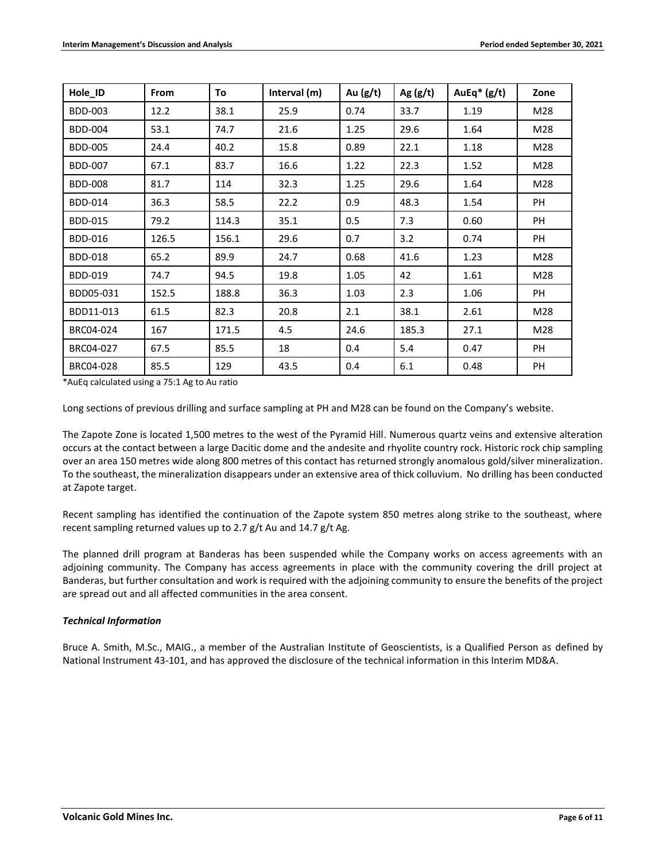| Hole_ID        | <b>From</b> | To    | Interval (m) | Au $(g/t)$ | Ag $(g/t)$ | AuEq $*(g/t)$ | Zone |
|----------------|-------------|-------|--------------|------------|------------|---------------|------|
| <b>BDD-003</b> | 12.2        | 38.1  | 25.9         | 0.74       | 33.7       | 1.19          | M28  |
| <b>BDD-004</b> | 53.1        | 74.7  | 21.6         | 1.25       | 29.6       | 1.64          | M28  |
| <b>BDD-005</b> | 24.4        | 40.2  | 15.8         | 0.89       | 22.1       | 1.18          | M28  |
| <b>BDD-007</b> | 67.1        | 83.7  | 16.6         | 1.22       | 22.3       | 1.52          | M28  |
| <b>BDD-008</b> | 81.7        | 114   | 32.3         | 1.25       | 29.6       | 1.64          | M28  |
| <b>BDD-014</b> | 36.3        | 58.5  | 22.2         | 0.9        | 48.3       | 1.54          | PH   |
| <b>BDD-015</b> | 79.2        | 114.3 | 35.1         | 0.5        | 7.3        | 0.60          | PH   |
| <b>BDD-016</b> | 126.5       | 156.1 | 29.6         | 0.7        | 3.2        | 0.74          | PH   |
| <b>BDD-018</b> | 65.2        | 89.9  | 24.7         | 0.68       | 41.6       | 1.23          | M28  |
| <b>BDD-019</b> | 74.7        | 94.5  | 19.8         | 1.05       | 42         | 1.61          | M28  |
| BDD05-031      | 152.5       | 188.8 | 36.3         | 1.03       | 2.3        | 1.06          | PH   |
| BDD11-013      | 61.5        | 82.3  | 20.8         | 2.1        | 38.1       | 2.61          | M28  |
| BRC04-024      | 167         | 171.5 | 4.5          | 24.6       | 185.3      | 27.1          | M28  |
| BRC04-027      | 67.5        | 85.5  | 18           | 0.4        | 5.4        | 0.47          | PH   |
| BRC04-028      | 85.5        | 129   | 43.5         | 0.4        | 6.1        | 0.48          | PH   |

\*AuEq calculated using a 75:1 Ag to Au ratio

Long sections of previous drilling and surface sampling at PH and M28 can be found on the Company's website.

The Zapote Zone is located 1,500 metres to the west of the Pyramid Hill. Numerous quartz veins and extensive alteration occurs at the contact between a large Dacitic dome and the andesite and rhyolite country rock. Historic rock chip sampling over an area 150 metres wide along 800 metres of this contact has returned strongly anomalous gold/silver mineralization. To the southeast, the mineralization disappears under an extensive area of thick colluvium. No drilling has been conducted at Zapote target.

Recent sampling has identified the continuation of the Zapote system 850 metres along strike to the southeast, where recent sampling returned values up to 2.7 g/t Au and 14.7 g/t Ag.

The planned drill program at Banderas has been suspended while the Company works on access agreements with an adjoining community. The Company has access agreements in place with the community covering the drill project at Banderas, but further consultation and work is required with the adjoining community to ensure the benefits of the project are spread out and all affected communities in the area consent.

# *Technical Information*

Bruce A. Smith, M.Sc., MAIG., a member of the Australian Institute of Geoscientists, is a Qualified Person as defined by National Instrument 43-101, and has approved the disclosure of the technical information in this Interim MD&A.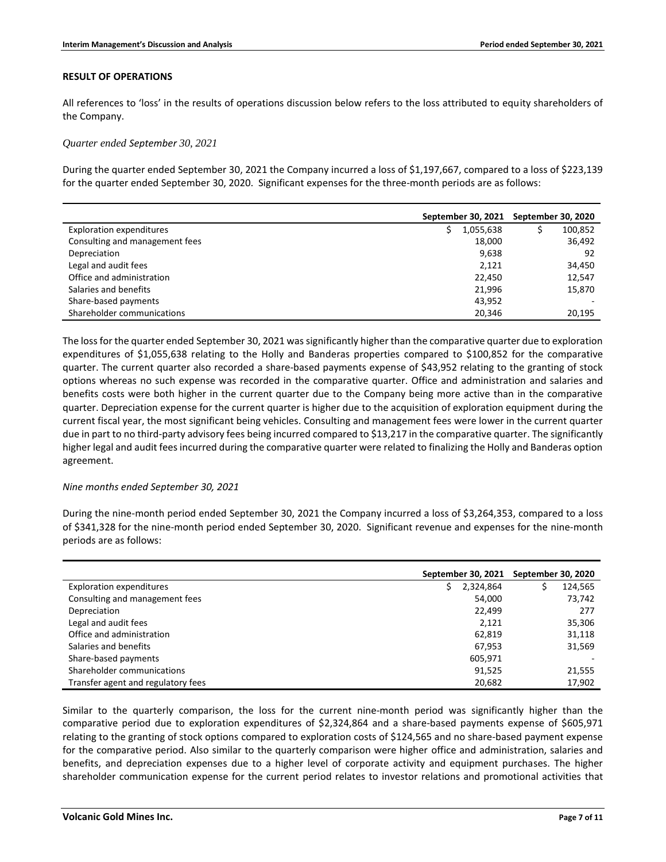#### **RESULT OF OPERATIONS**

All references to 'loss' in the results of operations discussion below refers to the loss attributed to equity shareholders of the Company.

#### *Quarter ended September 30, 2021*

During the quarter ended September 30, 2021 the Company incurred a loss of \$1,197,667, compared to a loss of \$223,139 for the quarter ended September 30, 2020. Significant expenses for the three-month periods are as follows:

|                                 | September 30, 2021 | September 30, 2020 |
|---------------------------------|--------------------|--------------------|
| <b>Exploration expenditures</b> | 1,055,638          | 100,852            |
| Consulting and management fees  | 18,000             | 36,492             |
| Depreciation                    | 9,638              | 92                 |
| Legal and audit fees            | 2,121              | 34,450             |
| Office and administration       | 22,450             | 12,547             |
| Salaries and benefits           | 21.996             | 15,870             |
| Share-based payments            | 43,952             |                    |
| Shareholder communications      | 20.346             | 20,195             |

The loss for the quarter ended September 30, 2021 was significantly higher than the comparative quarter due to exploration expenditures of \$1,055,638 relating to the Holly and Banderas properties compared to \$100,852 for the comparative quarter. The current quarter also recorded a share-based payments expense of \$43,952 relating to the granting of stock options whereas no such expense was recorded in the comparative quarter. Office and administration and salaries and benefits costs were both higher in the current quarter due to the Company being more active than in the comparative quarter. Depreciation expense for the current quarter is higher due to the acquisition of exploration equipment during the current fiscal year, the most significant being vehicles. Consulting and management fees were lower in the current quarter due in part to no third-party advisory fees being incurred compared to \$13,217 in the comparative quarter. The significantly higher legal and audit fees incurred during the comparative quarter were related to finalizing the Holly and Banderas option agreement.

#### *Nine months ended September 30, 2021*

During the nine-month period ended September 30, 2021 the Company incurred a loss of \$3,264,353, compared to a loss of \$341,328 for the nine-month period ended September 30, 2020. Significant revenue and expenses for the nine-month periods are as follows:

|                                    | September 30, 2021 | September 30, 2020 |
|------------------------------------|--------------------|--------------------|
| <b>Exploration expenditures</b>    | 2,324,864<br>S     | 124,565            |
| Consulting and management fees     | 54,000             | 73,742             |
| Depreciation                       | 22.499             | 277                |
| Legal and audit fees               | 2,121              | 35,306             |
| Office and administration          | 62,819             | 31,118             |
| Salaries and benefits              | 67.953             | 31,569             |
| Share-based payments               | 605,971            |                    |
| Shareholder communications         | 91.525             | 21,555             |
| Transfer agent and regulatory fees | 20,682             | 17,902             |

Similar to the quarterly comparison, the loss for the current nine-month period was significantly higher than the comparative period due to exploration expenditures of \$2,324,864 and a share-based payments expense of \$605,971 relating to the granting of stock options compared to exploration costs of \$124,565 and no share-based payment expense for the comparative period. Also similar to the quarterly comparison were higher office and administration, salaries and benefits, and depreciation expenses due to a higher level of corporate activity and equipment purchases. The higher shareholder communication expense for the current period relates to investor relations and promotional activities that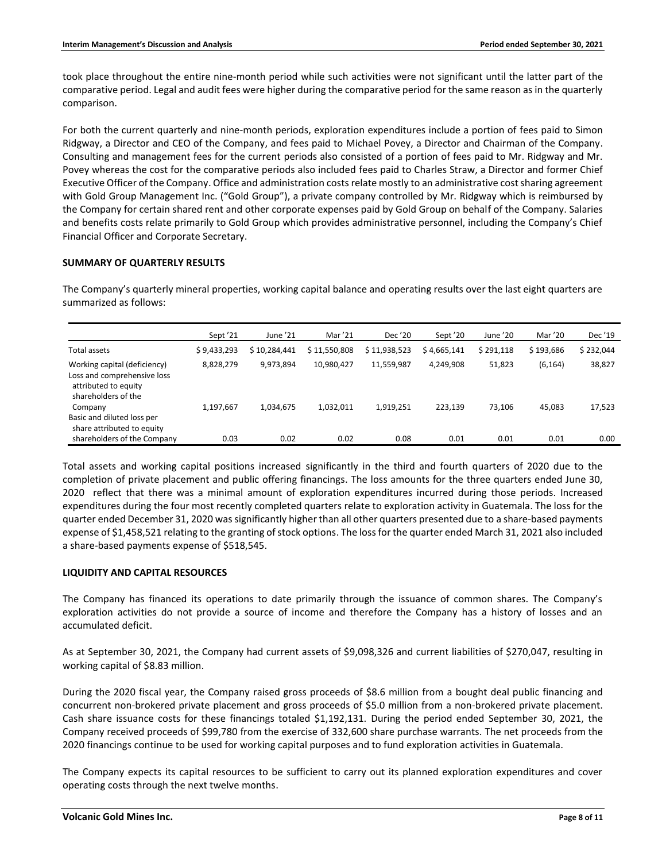took place throughout the entire nine-month period while such activities were not significant until the latter part of the comparative period. Legal and audit fees were higher during the comparative period for the same reason as in the quarterly comparison.

For both the current quarterly and nine-month periods, exploration expenditures include a portion of fees paid to Simon Ridgway, a Director and CEO of the Company, and fees paid to Michael Povey, a Director and Chairman of the Company. Consulting and management fees for the current periods also consisted of a portion of fees paid to Mr. Ridgway and Mr. Povey whereas the cost for the comparative periods also included fees paid to Charles Straw, a Director and former Chief Executive Officer of the Company. Office and administration costs relate mostly to an administrative cost sharing agreement with Gold Group Management Inc. ("Gold Group"), a private company controlled by Mr. Ridgway which is reimbursed by the Company for certain shared rent and other corporate expenses paid by Gold Group on behalf of the Company. Salaries and benefits costs relate primarily to Gold Group which provides administrative personnel, including the Company's Chief Financial Officer and Corporate Secretary.

# **SUMMARY OF QUARTERLY RESULTS**

The Company's quarterly mineral properties, working capital balance and operating results over the last eight quarters are summarized as follows:

|                                                                                                            | Sept <sup>'21</sup> | June '21     | Mar '21      | Dec '20      | Sept '20    | June '20  | Mar '20   | Dec '19   |
|------------------------------------------------------------------------------------------------------------|---------------------|--------------|--------------|--------------|-------------|-----------|-----------|-----------|
| Total assets                                                                                               | \$9,433,293         | \$10,284,441 | \$11,550,808 | \$11,938,523 | \$4,665,141 | \$291,118 | \$193,686 | \$232,044 |
| Working capital (deficiency)<br>Loss and comprehensive loss<br>attributed to equity<br>shareholders of the | 8,828,279           | 9,973,894    | 10,980,427   | 11,559,987   | 4.249.908   | 51,823    | (6, 164)  | 38,827    |
| Company<br>Basic and diluted loss per<br>share attributed to equity                                        | 1,197,667           | 1,034,675    | 1,032,011    | 1,919,251    | 223.139     | 73,106    | 45,083    | 17,523    |
| shareholders of the Company                                                                                | 0.03                | 0.02         | 0.02         | 0.08         | 0.01        | 0.01      | 0.01      | 0.00      |

Total assets and working capital positions increased significantly in the third and fourth quarters of 2020 due to the completion of private placement and public offering financings. The loss amounts for the three quarters ended June 30, 2020 reflect that there was a minimal amount of exploration expenditures incurred during those periods. Increased expenditures during the four most recently completed quarters relate to exploration activity in Guatemala. The loss for the quarter ended December 31, 2020 wassignificantly higher than all other quarters presented due to a share-based payments expense of \$1,458,521 relating to the granting of stock options. The loss for the quarter ended March 31, 2021 also included a share-based payments expense of \$518,545.

# **LIQUIDITY AND CAPITAL RESOURCES**

The Company has financed its operations to date primarily through the issuance of common shares. The Company's exploration activities do not provide a source of income and therefore the Company has a history of losses and an accumulated deficit.

As at September 30, 2021, the Company had current assets of \$9,098,326 and current liabilities of \$270,047, resulting in working capital of \$8.83 million.

During the 2020 fiscal year, the Company raised gross proceeds of \$8.6 million from a bought deal public financing and concurrent non-brokered private placement and gross proceeds of \$5.0 million from a non-brokered private placement. Cash share issuance costs for these financings totaled \$1,192,131. During the period ended September 30, 2021, the Company received proceeds of \$99,780 from the exercise of 332,600 share purchase warrants. The net proceeds from the 2020 financings continue to be used for working capital purposes and to fund exploration activities in Guatemala.

The Company expects its capital resources to be sufficient to carry out its planned exploration expenditures and cover operating costs through the next twelve months.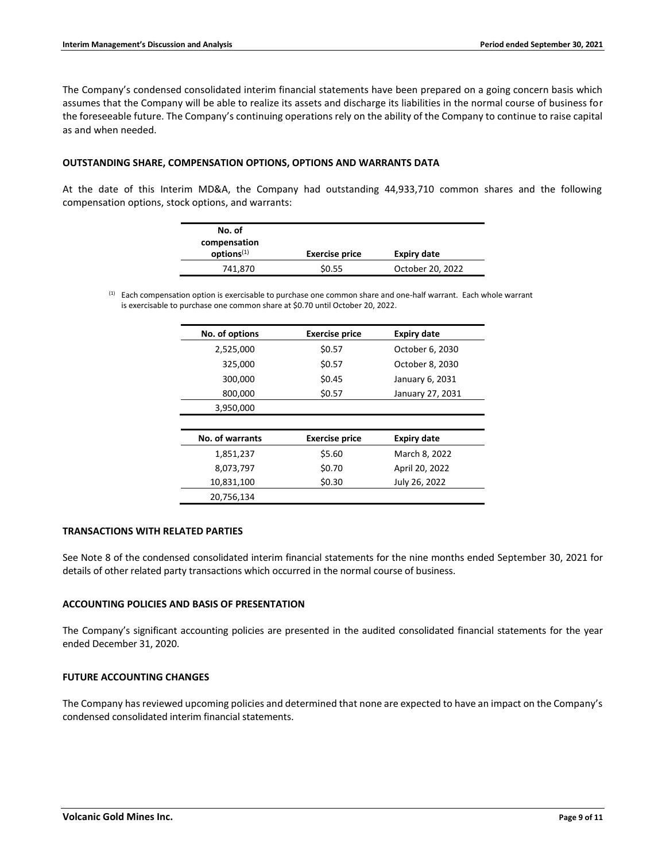The Company's condensed consolidated interim financial statements have been prepared on a going concern basis which assumes that the Company will be able to realize its assets and discharge its liabilities in the normal course of business for the foreseeable future. The Company's continuing operations rely on the ability of the Company to continue to raise capital as and when needed.

# **OUTSTANDING SHARE, COMPENSATION OPTIONS, OPTIONS AND WARRANTS DATA**

At the date of this Interim MD&A, the Company had outstanding 44,933,710 common shares and the following compensation options, stock options, and warrants:

| No. of                 |                       |                    |  |
|------------------------|-----------------------|--------------------|--|
| compensation           |                       |                    |  |
| options <sup>(1)</sup> | <b>Exercise price</b> | <b>Expiry date</b> |  |
| 741,870                | \$0.55                | October 20, 2022   |  |

 $<sup>(1)</sup>$  Each compensation option is exercisable to purchase one common share and one-half warrant. Each whole warrant</sup> is exercisable to purchase one common share at \$0.70 until October 20, 2022.

| No. of options  | <b>Exercise price</b> | <b>Expiry date</b> |
|-----------------|-----------------------|--------------------|
| 2,525,000       | \$0.57                | October 6, 2030    |
| 325,000         | \$0.57                | October 8, 2030    |
| 300,000         | \$0.45                | January 6, 2031    |
| 800,000         | \$0.57                | January 27, 2031   |
| 3,950,000       |                       |                    |
|                 |                       |                    |
| No. of warrants | <b>Exercise price</b> | <b>Expiry date</b> |
| 1,851,237       | \$5.60                | March 8, 2022      |
| 8,073,797       | \$0.70                | April 20, 2022     |
| 10,831,100      | \$0.30                | July 26, 2022      |
| 20,756,134      |                       |                    |

# **TRANSACTIONS WITH RELATED PARTIES**

See Note 8 of the condensed consolidated interim financial statements for the nine months ended September 30, 2021 for details of other related party transactions which occurred in the normal course of business.

# **ACCOUNTING POLICIES AND BASIS OF PRESENTATION**

The Company's significant accounting policies are presented in the audited consolidated financial statements for the year ended December 31, 2020.

# **FUTURE ACCOUNTING CHANGES**

The Company has reviewed upcoming policies and determined that none are expected to have an impact on the Company's condensed consolidated interim financial statements.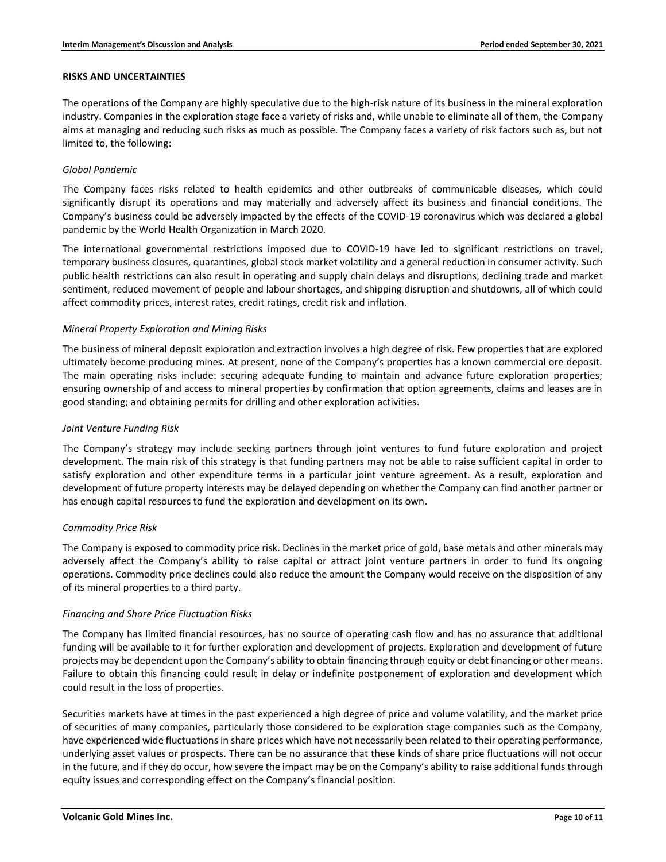#### **RISKS AND UNCERTAINTIES**

The operations of the Company are highly speculative due to the high-risk nature of its business in the mineral exploration industry. Companies in the exploration stage face a variety of risks and, while unable to eliminate all of them, the Company aims at managing and reducing such risks as much as possible. The Company faces a variety of risk factors such as, but not limited to, the following:

# *Global Pandemic*

The Company faces risks related to health epidemics and other outbreaks of communicable diseases, which could significantly disrupt its operations and may materially and adversely affect its business and financial conditions. The Company's business could be adversely impacted by the effects of the COVID-19 coronavirus which was declared a global pandemic by the World Health Organization in March 2020.

The international governmental restrictions imposed due to COVID-19 have led to significant restrictions on travel, temporary business closures, quarantines, global stock market volatility and a general reduction in consumer activity. Such public health restrictions can also result in operating and supply chain delays and disruptions, declining trade and market sentiment, reduced movement of people and labour shortages, and shipping disruption and shutdowns, all of which could affect commodity prices, interest rates, credit ratings, credit risk and inflation.

# *Mineral Property Exploration and Mining Risks*

The business of mineral deposit exploration and extraction involves a high degree of risk. Few properties that are explored ultimately become producing mines. At present, none of the Company's properties has a known commercial ore deposit. The main operating risks include: securing adequate funding to maintain and advance future exploration properties; ensuring ownership of and access to mineral properties by confirmation that option agreements, claims and leases are in good standing; and obtaining permits for drilling and other exploration activities.

# *Joint Venture Funding Risk*

The Company's strategy may include seeking partners through joint ventures to fund future exploration and project development. The main risk of this strategy is that funding partners may not be able to raise sufficient capital in order to satisfy exploration and other expenditure terms in a particular joint venture agreement. As a result, exploration and development of future property interests may be delayed depending on whether the Company can find another partner or has enough capital resources to fund the exploration and development on its own.

# *Commodity Price Risk*

The Company is exposed to commodity price risk. Declines in the market price of gold, base metals and other minerals may adversely affect the Company's ability to raise capital or attract joint venture partners in order to fund its ongoing operations. Commodity price declines could also reduce the amount the Company would receive on the disposition of any of its mineral properties to a third party.

# *Financing and Share Price Fluctuation Risks*

The Company has limited financial resources, has no source of operating cash flow and has no assurance that additional funding will be available to it for further exploration and development of projects. Exploration and development of future projects may be dependent upon the Company's ability to obtain financing through equity or debt financing or other means. Failure to obtain this financing could result in delay or indefinite postponement of exploration and development which could result in the loss of properties.

Securities markets have at times in the past experienced a high degree of price and volume volatility, and the market price of securities of many companies, particularly those considered to be exploration stage companies such as the Company, have experienced wide fluctuations in share prices which have not necessarily been related to their operating performance, underlying asset values or prospects. There can be no assurance that these kinds of share price fluctuations will not occur in the future, and if they do occur, how severe the impact may be on the Company's ability to raise additional funds through equity issues and corresponding effect on the Company's financial position.